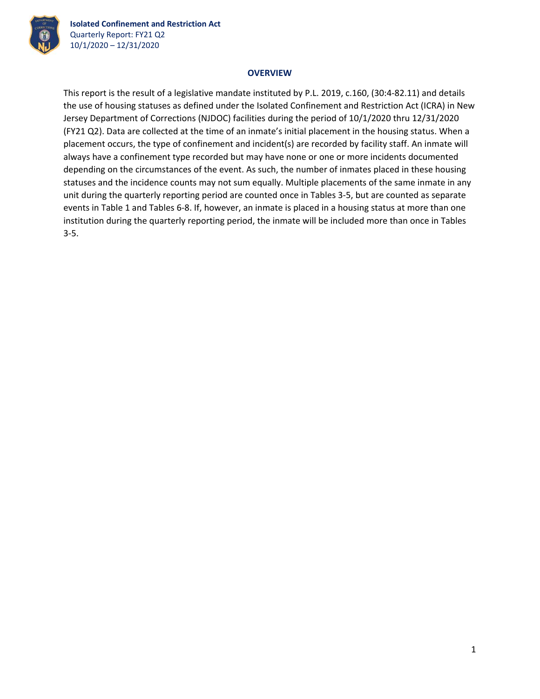

**Isolated Confinement and Restriction Act** Quarterly Report: FY21 Q2 10/1/2020 – 12/31/2020

## **OVERVIEW**

This report is the result of a legislative mandate instituted by P.L. 2019, c.160, (30:4‐82.11) and details the use of housing statuses as defined under the Isolated Confinement and Restriction Act (ICRA) in New Jersey Department of Corrections (NJDOC) facilities during the period of 10/1/2020 thru 12/31/2020 (FY21 Q2). Data are collected at the time of an inmate's initial placement in the housing status. When a placement occurs, the type of confinement and incident(s) are recorded by facility staff. An inmate will always have a confinement type recorded but may have none or one or more incidents documented depending on the circumstances of the event. As such, the number of inmates placed in these housing statuses and the incidence counts may not sum equally. Multiple placements of the same inmate in any unit during the quarterly reporting period are counted once in Tables 3‐5, but are counted as separate events in Table 1 and Tables 6‐8. If, however, an inmate is placed in a housing status at more than one institution during the quarterly reporting period, the inmate will be included more than once in Tables 3‐5.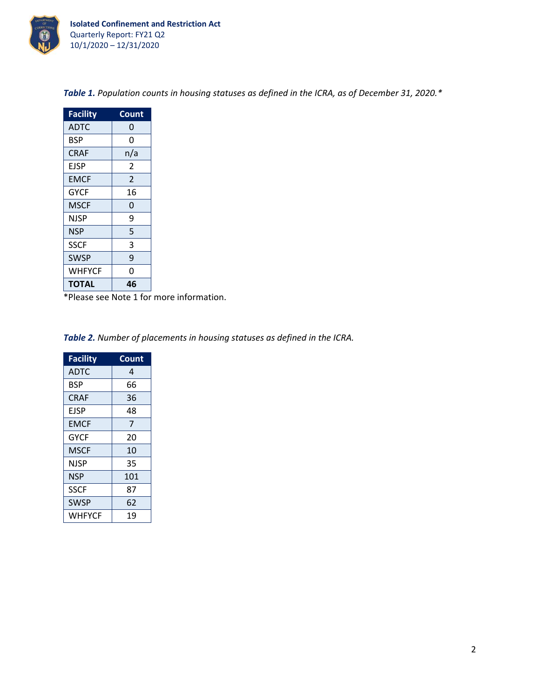

| <b>Facility</b> | Count          |
|-----------------|----------------|
| ADTC            | 0              |
| <b>BSP</b>      | 0              |
| <b>CRAF</b>     | n/a            |
| EJSP            | 2              |
| <b>EMCF</b>     | $\overline{2}$ |
| <b>GYCF</b>     | 16             |
| MSCF            | 0              |
| NJSP            | 9              |
| NSP             | 5              |
| <b>SSCF</b>     | 3              |
| SWSP            | 9              |
| <b>WHFYCF</b>   | 0              |
| TOTAL           | 46             |

*Table 1. Population counts in housing statuses as defined in the ICRA, as of December 31, 2020.\**

\*Please see Note 1 for more information.

*Table 2. Number of placements in housing statuses as defined in the ICRA.*

| <b>Facility</b> | Count |
|-----------------|-------|
| <b>ADTC</b>     | 4     |
| <b>BSP</b>      | 66    |
| <b>CRAF</b>     | 36    |
| EJSP            | 48    |
| <b>EMCF</b>     | 7     |
| <b>GYCF</b>     | 20    |
| MSCF            | 10    |
| NJSP            | 35    |
| <b>NSP</b>      | 101   |
| <b>SSCF</b>     | 87    |
| <b>SWSP</b>     | 62    |
| WHFYCF          | 19    |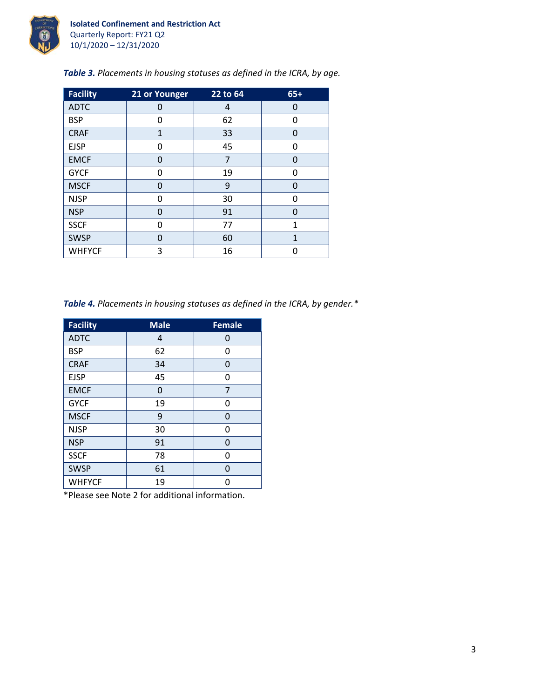

| Table 3. Placements in housing statuses as defined in the ICRA, by age. |  |
|-------------------------------------------------------------------------|--|
|-------------------------------------------------------------------------|--|

| <b>Facility</b> | 21 or Younger | $22$ to 64 | $65+$        |
|-----------------|---------------|------------|--------------|
| <b>ADTC</b>     | 0             | 4          | 0            |
| <b>BSP</b>      | 0             | 62         | 0            |
| <b>CRAF</b>     | $\mathbf{1}$  | 33         | 0            |
| <b>EJSP</b>     | 0             | 45         | 0            |
| <b>EMCF</b>     | 0             | 7          | 0            |
| <b>GYCF</b>     | 0             | 19         | 0            |
| <b>MSCF</b>     | 0             | 9          | 0            |
| <b>NJSP</b>     | O             | 30         | 0            |
| <b>NSP</b>      | 0             | 91         | 0            |
| <b>SSCF</b>     | 0             | 77         | $\mathbf{1}$ |
| <b>SWSP</b>     | 0             | 60         | $\mathbf{1}$ |
| <b>WHFYCF</b>   | 3             | 16         | ი            |

*Table 4. Placements in housing statuses as defined in the ICRA, by gender.\**

| <b>Facility</b> | <b>Male</b> | <b>Female</b> |
|-----------------|-------------|---------------|
| <b>ADTC</b>     | 4           | 0             |
| <b>BSP</b>      | 62          | 0             |
| <b>CRAF</b>     | 34          | 0             |
| <b>EJSP</b>     | 45          | 0             |
| <b>EMCF</b>     | 0           | 7             |
| <b>GYCF</b>     | 19          | O             |
| <b>MSCF</b>     | 9           | 0             |
| <b>NJSP</b>     | 30          | U             |
| <b>NSP</b>      | 91          | 0             |
| <b>SSCF</b>     | 78          | 0             |
| <b>SWSP</b>     | 61          | 0             |
| <b>WHFYCF</b>   | 19          |               |

\*Please see Note 2 for additional information.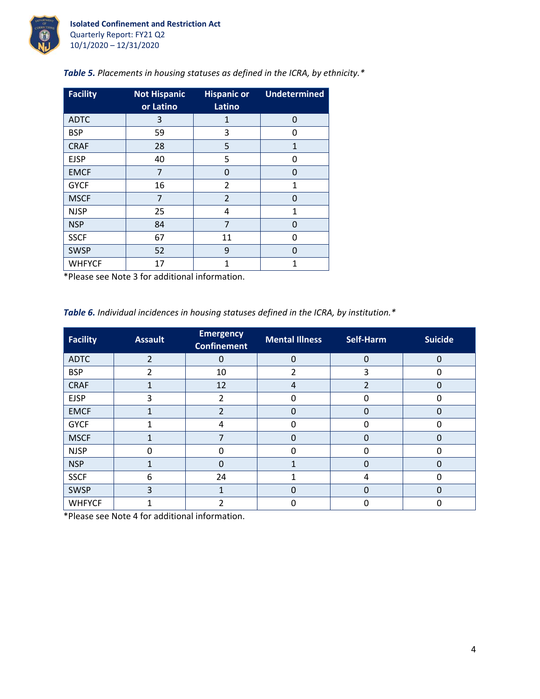

| <b>Facility</b> | <b>Not Hispanic</b><br>or Latino | <b>Hispanic or</b><br>Latino | <b>Undetermined</b> |
|-----------------|----------------------------------|------------------------------|---------------------|
| <b>ADTC</b>     | 3                                | $\mathbf{1}$                 | $\Omega$            |
| <b>BSP</b>      | 59                               | 3                            | 0                   |
| <b>CRAF</b>     | 28                               | 5                            | $\mathbf{1}$        |
| <b>EJSP</b>     | 40                               | 5                            | 0                   |
| <b>EMCF</b>     | 7                                | 0                            | 0                   |
| <b>GYCF</b>     | 16                               | 2                            | 1                   |
| <b>MSCF</b>     | $\overline{7}$                   | $\overline{2}$               | O                   |
| <b>NJSP</b>     | 25                               | 4                            | 1                   |
| <b>NSP</b>      | 84                               | 7                            | $\Omega$            |
| <b>SSCF</b>     | 67                               | 11                           | ŋ                   |
| <b>SWSP</b>     | 52                               | 9                            | O                   |
| <b>WHFYCF</b>   | 17                               | 1                            | 1                   |

*Table 5. Placements in housing statuses as defined in the ICRA, by ethnicity.\**

\*Please see Note 3 for additional information.

*Table 6. Individual incidences in housing statuses defined in the ICRA, by institution.\**

| <b>Facility</b> | <b>Assault</b> | <b>Emergency</b><br><b>Confinement</b> | <b>Mental Illness</b> |          | <b>Suicide</b> |
|-----------------|----------------|----------------------------------------|-----------------------|----------|----------------|
| <b>ADTC</b>     | $\overline{2}$ | 0                                      | $\Omega$              | $\Omega$ | 0              |
| <b>BSP</b>      | $\overline{2}$ | 10                                     | $\overline{2}$        | 3        | 0              |
| <b>CRAF</b>     |                | 12                                     | 4                     | 2        | 0              |
| <b>EJSP</b>     | 3              | 2                                      | O                     |          |                |
| <b>EMCF</b>     |                | $\overline{2}$                         | 0                     | O        | 0              |
| <b>GYCF</b>     |                | 4                                      | 0                     |          | 0              |
| <b>MSCF</b>     |                | $\overline{7}$                         | 0                     |          | 0              |
| <b>NJSP</b>     | ი              | 0                                      | 0                     | O        | ი              |
| <b>NSP</b>      |                | $\Omega$                               |                       |          | 0              |
| <b>SSCF</b>     | 6              | 24                                     | 1                     | 4        | ი              |
| <b>SWSP</b>     | 3              | 1                                      | 0                     | $\Omega$ | 0              |
| <b>WHFYCF</b>   |                |                                        | 0                     |          |                |

\*Please see Note 4 for additional information.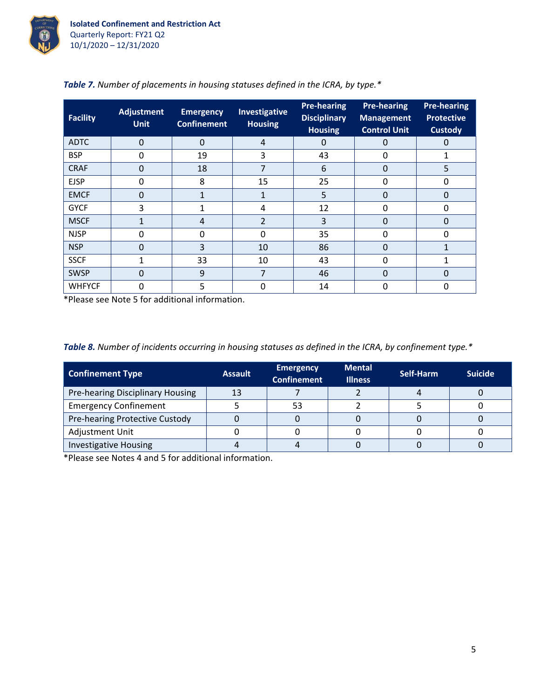

| Facility      | <b>Adjustment</b><br><b>Unit</b> | <b>Emergency</b><br><b>Confinement</b> | <b>Investigative</b><br><b>Housing</b> | <b>Pre-hearing</b><br><b>Disciplinary</b><br><b>Housing</b> | <b>Pre-hearing</b><br><b>Management</b><br><b>Control Unit</b> | <b>Pre-hearing</b><br><b>Protective</b><br><b>Custody</b> |
|---------------|----------------------------------|----------------------------------------|----------------------------------------|-------------------------------------------------------------|----------------------------------------------------------------|-----------------------------------------------------------|
| <b>ADTC</b>   | $\Omega$                         | $\Omega$                               | 4                                      | 0                                                           | 0                                                              | 0                                                         |
| <b>BSP</b>    | 0                                | 19                                     | 3                                      | 43                                                          | 0                                                              |                                                           |
| <b>CRAF</b>   | 0                                | 18                                     | 7                                      | 6                                                           | 0                                                              | 5                                                         |
| <b>EJSP</b>   | 0                                | 8                                      | 15                                     | 25                                                          | $\Omega$                                                       | 0                                                         |
| <b>EMCF</b>   | 0                                |                                        | 1                                      | 5                                                           | 0                                                              | 0                                                         |
| <b>GYCF</b>   | 3                                |                                        | 4                                      | 12                                                          | 0                                                              | 0                                                         |
| <b>MSCF</b>   |                                  | 4                                      | $\overline{2}$                         | 3                                                           | 0                                                              | $\Omega$                                                  |
| <b>NJSP</b>   | 0                                | 0                                      | 0                                      | 35                                                          | 0                                                              | O                                                         |
| <b>NSP</b>    | 0                                | 3                                      | 10                                     | 86                                                          | 0                                                              |                                                           |
| <b>SSCF</b>   | 1                                | 33                                     | 10                                     | 43                                                          | 0                                                              | 1                                                         |
| <b>SWSP</b>   | 0                                | 9                                      | 7                                      | 46                                                          | $\Omega$                                                       | $\Omega$                                                  |
| <b>WHFYCF</b> | 0                                | 5                                      | 0                                      | 14                                                          | 0                                                              | 0                                                         |

|  |  | <b>Table 7.</b> Number of placements in housing statuses defined in the ICRA, by type.* |
|--|--|-----------------------------------------------------------------------------------------|
|  |  |                                                                                         |

\*Please see Note 5 for additional information.

|  |  |  | Table 8. Number of incidents occurring in housing statuses as defined in the ICRA, by confinement type.* |
|--|--|--|----------------------------------------------------------------------------------------------------------|
|  |  |  |                                                                                                          |

| <b>Confinement Type</b>          | <b>Assault</b> | <b>Emergency</b><br><b>Confinement</b> | <b>Mental</b><br><b>Illness</b> | Self-Harm | <b>Suicide</b> |
|----------------------------------|----------------|----------------------------------------|---------------------------------|-----------|----------------|
| Pre-hearing Disciplinary Housing | 13             |                                        |                                 |           |                |
| <b>Emergency Confinement</b>     |                | 53                                     |                                 |           |                |
| Pre-hearing Protective Custody   |                |                                        |                                 |           |                |
| Adjustment Unit                  |                |                                        |                                 |           |                |
| <b>Investigative Housing</b>     |                |                                        |                                 |           |                |

\*Please see Notes 4 and 5 for additional information.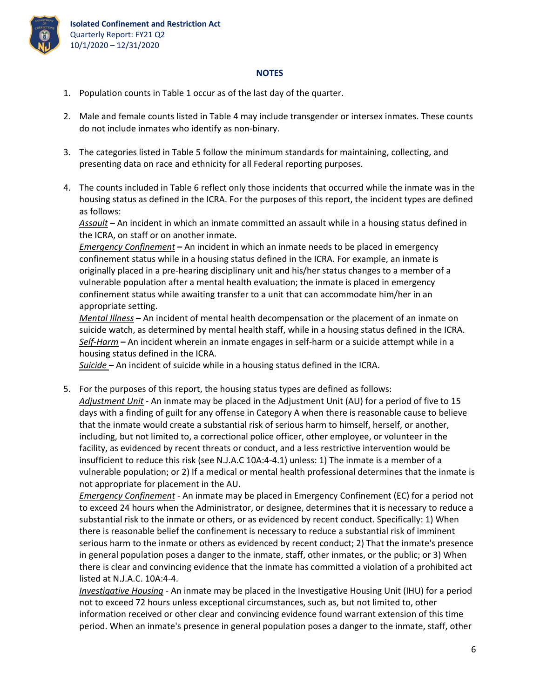

## **NOTES**

- 1. Population counts in Table 1 occur as of the last day of the quarter.
- 2. Male and female counts listed in Table 4 may include transgender or intersex inmates. These counts do not include inmates who identify as non‐binary.
- 3. The categories listed in Table 5 follow the minimum standards for maintaining, collecting, and presenting data on race and ethnicity for all Federal reporting purposes.
- 4. The counts included in Table 6 reflect only those incidents that occurred while the inmate was in the housing status as defined in the ICRA. For the purposes of this report, the incident types are defined as follows:

*Assault* – An incident in which an inmate committed an assault while in a housing status defined in the ICRA, on staff or on another inmate.

*Emergency Confinement* **–** An incident in which an inmate needs to be placed in emergency confinement status while in a housing status defined in the ICRA. For example, an inmate is originally placed in a pre‐hearing disciplinary unit and his/her status changes to a member of a vulnerable population after a mental health evaluation; the inmate is placed in emergency confinement status while awaiting transfer to a unit that can accommodate him/her in an appropriate setting.

*Mental Illness* **–** An incident of mental health decompensation or the placement of an inmate on suicide watch, as determined by mental health staff, while in a housing status defined in the ICRA. *Self‐Harm* **–** An incident wherein an inmate engages in self‐harm or a suicide attempt while in a housing status defined in the ICRA.

*Suicide* **–** An incident of suicide while in a housing status defined in the ICRA.

5. For the purposes of this report, the housing status types are defined as follows: *Adjustment Unit* ‐ An inmate may be placed in the Adjustment Unit (AU) for a period of five to 15 days with a finding of guilt for any offense in Category A when there is reasonable cause to believe that the inmate would create a substantial risk of serious harm to himself, herself, or another, including, but not limited to, a correctional police officer, other employee, or volunteer in the facility, as evidenced by recent threats or conduct, and a less restrictive intervention would be insufficient to reduce this risk (see N.J.A.C 10A:4‐4.1) unless: 1) The inmate is a member of a vulnerable population; or 2) If a medical or mental health professional determines that the inmate is not appropriate for placement in the AU.

*Emergency Confinement ‐* An inmate may be placed in Emergency Confinement (EC) for a period not to exceed 24 hours when the Administrator, or designee, determines that it is necessary to reduce a substantial risk to the inmate or others, or as evidenced by recent conduct. Specifically: 1) When there is reasonable belief the confinement is necessary to reduce a substantial risk of imminent serious harm to the inmate or others as evidenced by recent conduct; 2) That the inmate's presence in general population poses a danger to the inmate, staff, other inmates, or the public; or 3) When there is clear and convincing evidence that the inmate has committed a violation of a prohibited act listed at N.J.A.C. 10A:4‐4.

*Investigative Housing* ‐ An inmate may be placed in the Investigative Housing Unit (IHU) for a period not to exceed 72 hours unless exceptional circumstances, such as, but not limited to, other information received or other clear and convincing evidence found warrant extension of this time period. When an inmate's presence in general population poses a danger to the inmate, staff, other